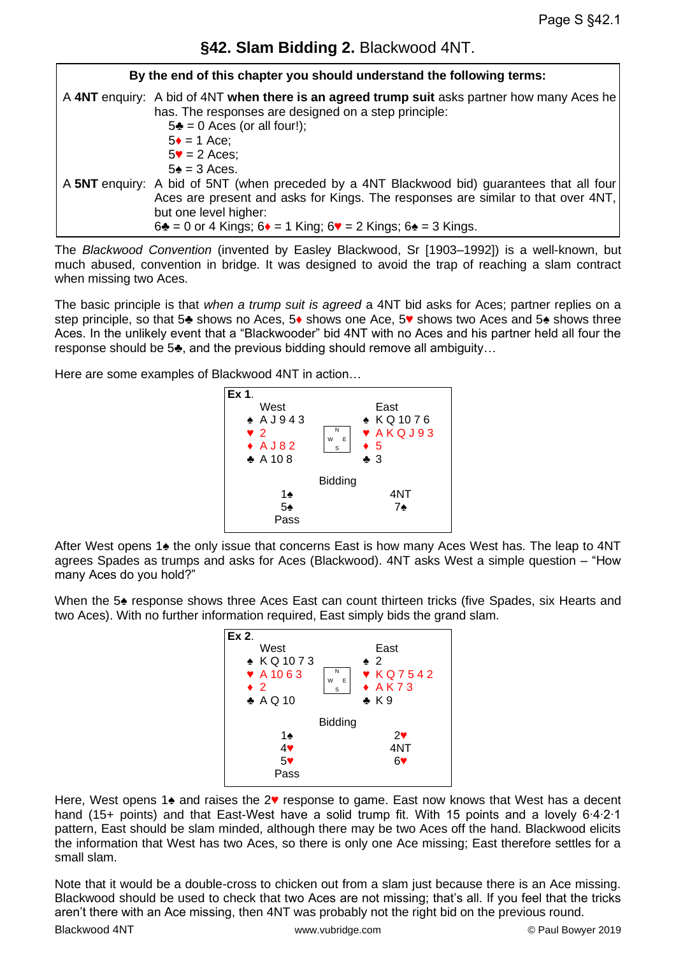## **§42. Slam Bidding 2.** Blackwood 4NT.

| By the end of this chapter you should understand the following terms: |                                                                                                                                                                                                                                                                                                                    |
|-----------------------------------------------------------------------|--------------------------------------------------------------------------------------------------------------------------------------------------------------------------------------------------------------------------------------------------------------------------------------------------------------------|
|                                                                       | A 4NT enquiry: A bid of 4NT when there is an agreed trump suit asks partner how many Aces he<br>has. The responses are designed on a step principle:<br>$5\clubsuit$ = 0 Aces (or all four!);<br>$5 \div = 1$ Ace;<br>$5\blacktriangledown$ = 2 Aces;<br>$5\angle 5 = 3$ Aces.                                     |
|                                                                       | A 5NT enquiry: A bid of 5NT (when preceded by a 4NT Blackwood bid) guarantees that all four<br>Aces are present and asks for Kings. The responses are similar to that over 4NT,<br>but one level higher:<br>$6\clubsuit$ = 0 or 4 Kings; $6\spadesuit$ = 1 King; $6\spadesuit$ = 2 Kings; $6\spadesuit$ = 3 Kings. |

The *Blackwood Convention* (invented by Easley Blackwood, Sr [1903–1992]) is a well-known, but much abused, convention in bridge. It was designed to avoid the trap of reaching a slam contract when missing two Aces.

The basic principle is that *when a trump suit is agreed* a 4NT bid asks for Aces; partner replies on a step principle, so that 5♣ shows no Aces, 5♦ shows one Ace, 5♥ shows two Aces and 5♠ shows three Aces. In the unlikely event that a "Blackwooder" bid 4NT with no Aces and his partner held all four the response should be 5♣, and the previous bidding should remove all ambiguity…

Here are some examples of Blackwood 4NT in action…



After West opens 1♠ the only issue that concerns East is how many Aces West has. The leap to 4NT agrees Spades as trumps and asks for Aces (Blackwood). 4NT asks West a simple question – "How many Aces do you hold?"

When the 5 $\triangle$  response shows three Aces East can count thirteen tricks (five Spades, six Hearts and two Aces). With no further information required, East simply bids the grand slam.



Here, West opens 1 $\triangle$  and raises the 2♥ response to game. East now knows that West has a decent hand (15+ points) and that East-West have a solid trump fit. With 15 points and a lovely 6∙4∙2∙1 pattern, East should be slam minded, although there may be two Aces off the hand. Blackwood elicits the information that West has two Aces, so there is only one Ace missing; East therefore settles for a small slam.

Note that it would be a double-cross to chicken out from a slam just because there is an Ace missing. Blackwood should be used to check that two Aces are not missing; that's all. If you feel that the tricks aren't there with an Ace missing, then 4NT was probably not the right bid on the previous round.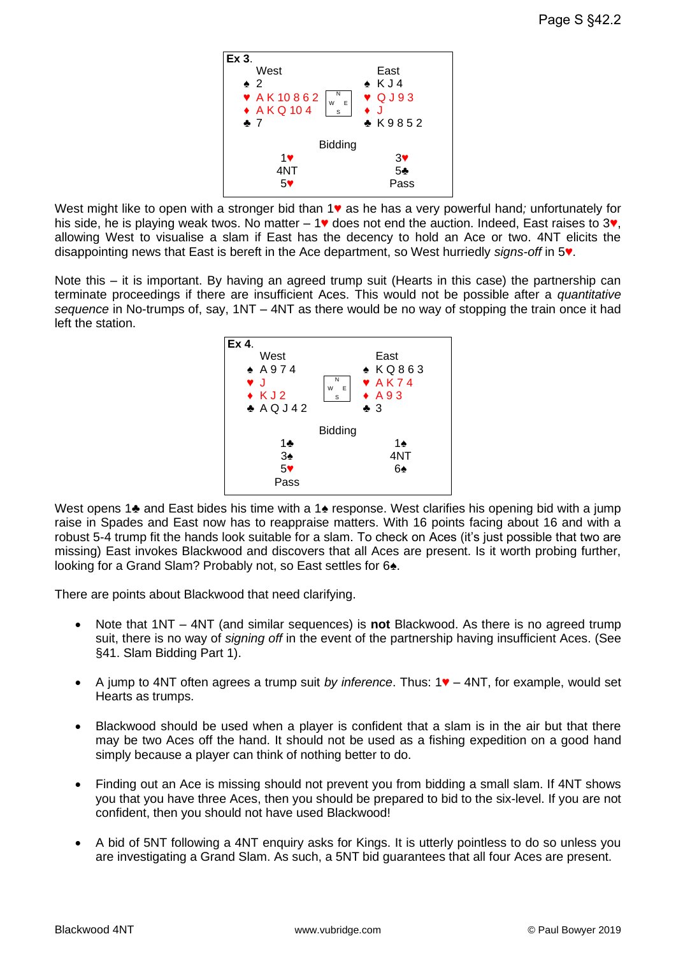

West might like to open with a stronger bid than 1♥ as he has a very powerful hand*;* unfortunately for his side, he is playing weak twos. No matter – 1♥ does not end the auction. Indeed, East raises to 3♥, allowing West to visualise a slam if East has the decency to hold an Ace or two. 4NT elicits the disappointing news that East is bereft in the Ace department, so West hurriedly *signs-off* in 5♥.

Note this – it is important. By having an agreed trump suit (Hearts in this case) the partnership can terminate proceedings if there are insufficient Aces. This would not be possible after a *quantitative sequence* in No-trumps of, say, 1NT – 4NT as there would be no way of stopping the train once it had left the station.



West opens 1♣ and East bides his time with a 1♣ response. West clarifies his opening bid with a jump raise in Spades and East now has to reappraise matters. With 16 points facing about 16 and with a robust 5-4 trump fit the hands look suitable for a slam. To check on Aces (it's just possible that two are missing) East invokes Blackwood and discovers that all Aces are present. Is it worth probing further, looking for a Grand Slam? Probably not, so East settles for 6♠.

There are points about Blackwood that need clarifying.

- Note that 1NT 4NT (and similar sequences) is **not** Blackwood. As there is no agreed trump suit, there is no way of *signing off* in the event of the partnership having insufficient Aces. (See §41. Slam Bidding Part 1).
- A jump to 4NT often agrees a trump suit *by inference*. Thus: 1♥ 4NT, for example, would set Hearts as trumps.
- Blackwood should be used when a player is confident that a slam is in the air but that there may be two Aces off the hand. It should not be used as a fishing expedition on a good hand simply because a player can think of nothing better to do.
- Finding out an Ace is missing should not prevent you from bidding a small slam. If 4NT shows you that you have three Aces, then you should be prepared to bid to the six-level. If you are not confident, then you should not have used Blackwood!
- A bid of 5NT following a 4NT enquiry asks for Kings. It is utterly pointless to do so unless you are investigating a Grand Slam. As such, a 5NT bid guarantees that all four Aces are present.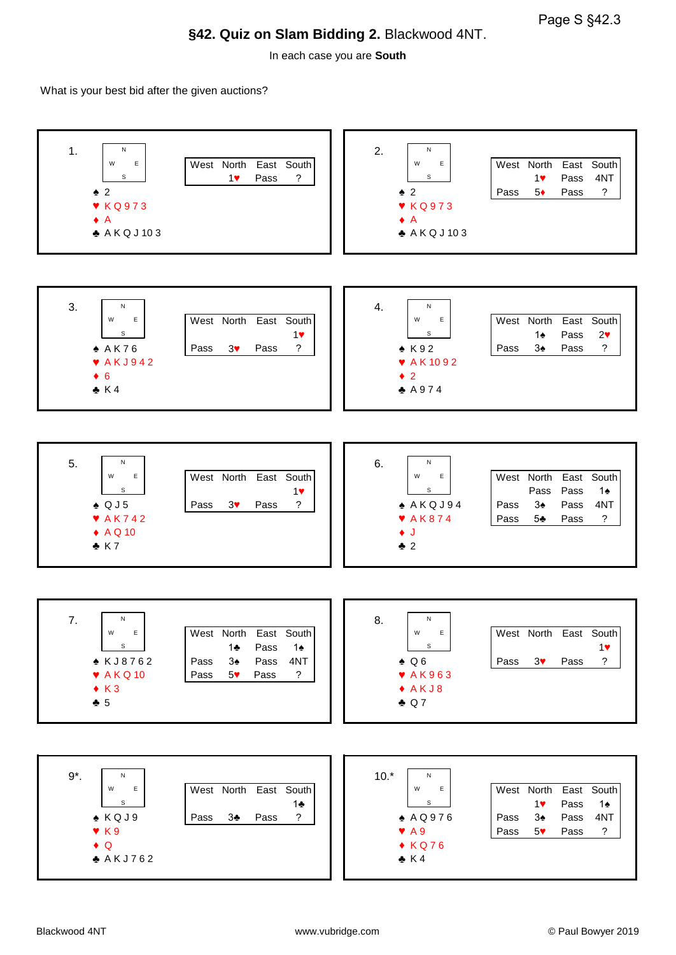## **§42. Quiz on Slam Bidding 2.** Blackwood 4NT.

In each case you are **South**

What is your best bid after the given auctions?

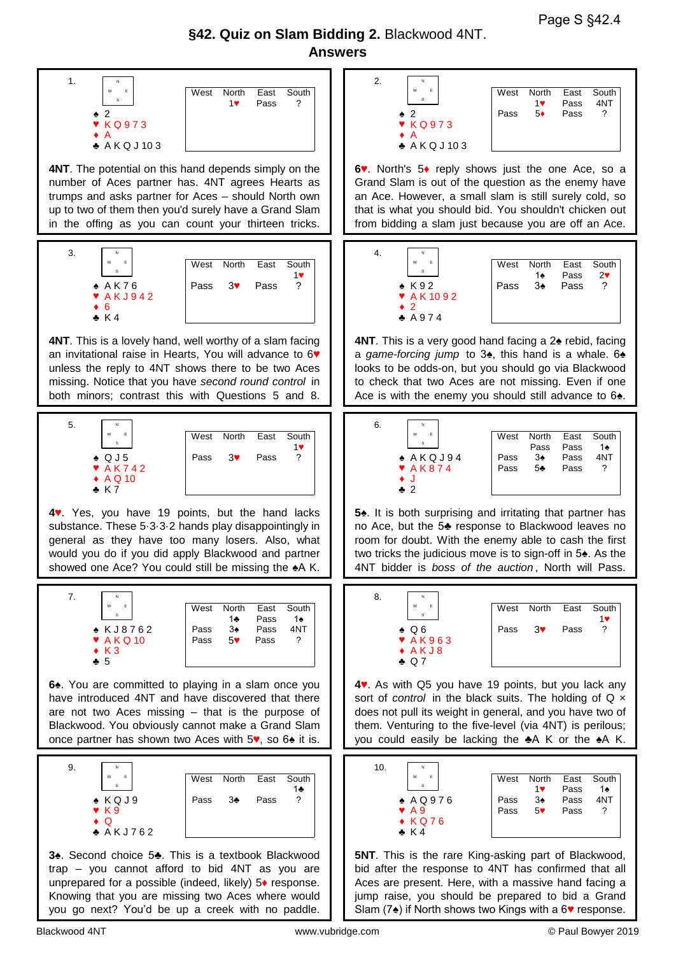Page S §42.4

## **§42. Quiz on Slam Bidding 2.** Blackwood 4NT. **Answers**

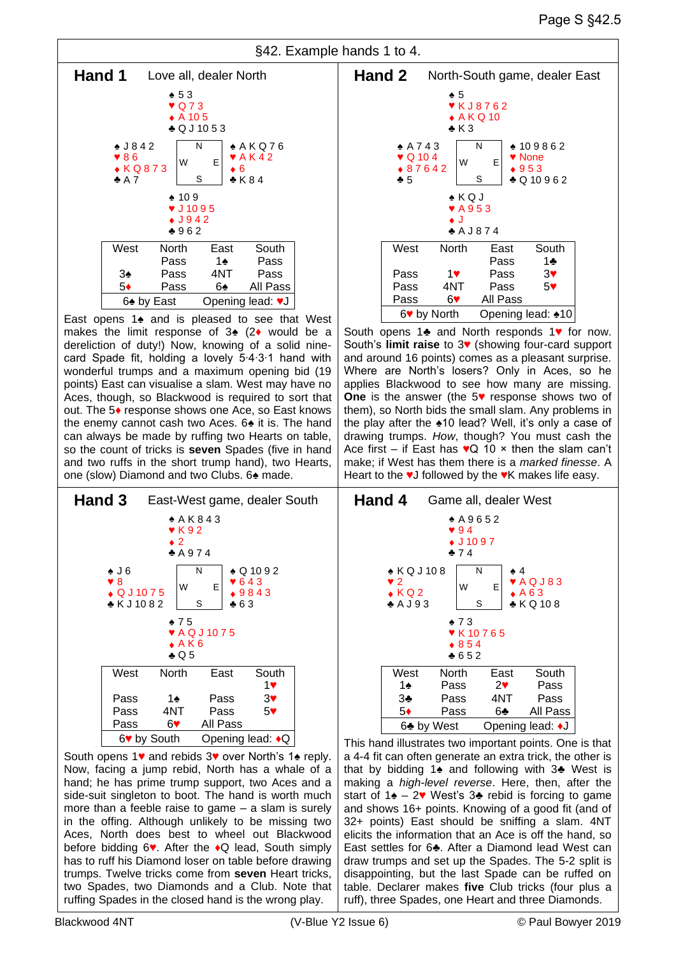

East opens 1♠ and is pleased to see that West makes the limit response of 3♠ (2♦ would be a dereliction of duty!) Now, knowing of a solid ninecard Spade fit, holding a lovely 5∙4∙3∙1 hand with wonderful trumps and a maximum opening bid (19 points) East can visualise a slam. West may have no Aces, though, so Blackwood is required to sort that out. The 5♦ response shows one Ace, so East knows the enemy cannot cash two Aces. 6♠ it is. The hand can always be made by ruffing two Hearts on table, so the count of tricks is **seven** Spades (five in hand and two ruffs in the short trump hand), two Hearts, one (slow) Diamond and two Clubs. 6♠ made.



South opens 1♥ and rebids 3♥ over North's 1♠ reply. Now, facing a jump rebid, North has a whale of a hand; he has prime trump support, two Aces and a side-suit singleton to boot. The hand is worth much more than a feeble raise to game – a slam is surely in the offing. Although unlikely to be missing two Aces, North does best to wheel out Blackwood before bidding 6♥. After the ♦Q lead, South simply has to ruff his Diamond loser on table before drawing trumps. Twelve tricks come from **seven** Heart tricks, two Spades, two Diamonds and a Club. Note that ruffing Spades in the closed hand is the wrong play.



South opens 1♣ and North responds 1♥ for now. South's **limit raise** to 3♥ (showing four-card support and around 16 points) comes as a pleasant surprise. Where are North's losers? Only in Aces, so he applies Blackwood to see how many are missing. **One** is the answer (the 5♥ response shows two of them), so North bids the small slam. Any problems in the play after the ♠10 lead? Well, it's only a case of drawing trumps. *How*, though? You must cash the Ace first – if East has  $\sqrt{Q}$  10  $\times$  then the slam can't make; if West has them there is a *marked finesse*. A Heart to the ♥J followed by the ♥K makes life easy.



This hand illustrates two important points. One is that a 4-4 fit can often generate an extra trick, the other is that by bidding 1♠ and following with 3♣ West is making a *high-level reverse*. Here, then, after the start of 1 $\triangle$  – 2♥ West's 3♣ rebid is forcing to game and shows 16+ points. Knowing of a good fit (and of 32+ points) East should be sniffing a slam. 4NT elicits the information that an Ace is off the hand, so East settles for 6♣. After a Diamond lead West can draw trumps and set up the Spades. The 5-2 split is disappointing, but the last Spade can be ruffed on table. Declarer makes **five** Club tricks (four plus a ruff), three Spades, one Heart and three Diamonds.